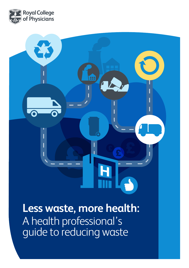

**Less waste, more health:** 

₩

A health professional's guide to reducing waste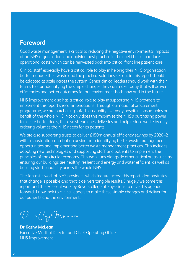## **Foreword**

Good waste management is critical to reducing the negative environmental impacts of an NHS organisation, and applying best practice in their field helps to reduce operational costs which can be reinvested back into critical front line patient care.

Clinical staff especially have a critical role to play in helping their NHS organisation better manage their waste and the practical solutions set out in this report should be adopted at scale across the system. Senior clinical leaders should work with their teams to start identifying the simple changes they can make today that will deliver efficiencies and better outcomes for our environment both now and in the future.

NHS Improvement also has a critical role to play in supporting NHS providers to implement this report's recommendations. Through our national procurement programme, we are purchasing safe, high-quality everyday hospital consumables on behalf of the whole NHS. Not only does this maximise the NHS's purchasing power to secure better deals, this also streamlines deliveries and help reduce waste by only ordering volumes the NHS needs for its patients.

We are also supporting trusts to deliver £150m annual efficiency savings by 2020–21 with a substantial contribution arising from identifying better waste management opportunities and implementing better waste management practices. This includes adopting new technologies and supporting staff and patients to implement the principles of the circular economy. This work runs alongside other critical areas such as ensuring our buildings are healthy, resilient and energy and water efficient, as well as building staff capability across the whole NHS.

The fantastic work of NHS providers, which feature across this report, demonstrates that change is possible and that it delivers tangible results. I hugely welcome this report and the excellent work by Royal College of Physicians to drive this agenda forward. I now look to clinical leaders to make these simple changes and deliver for our patients and the environment.

Dr athy Musican

**Dr Kathy McLean** Executive Medical Director and Chief Operating Officer NHS Improvement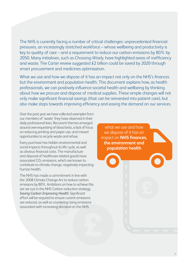The NHS is currently facing a number of critical challenges: unprecedented financial pressures, an increasingly stretched workforce – whose wellbeing and productivity is key to quality of care – and a requirement to reduce our carbon emissions by 80% by 2050. Many initiatives, such as *[Choosing Wisely](http://www.aomrc.org.uk/quality-policy-delivery/healthcare-policy/choosing-wisely/)*, have highlighted areas of inefficiency and wast[e. The Carter review s](https://www.gov.uk/government/publications/productivity-in-nhs-hospitals)uggested £2 billion could be saved by 2020 through smart procurement and medicines optimisation.

What we use and how we dispose of it has an impact not only on the NHS's finances but the environment and population health. This document explains how, as health professionals, we can positively influence societal health and wellbeing by thinking about how we procure and dispose of medical supplies. These simple changes will not only make significant financial savings (that can be reinvested into patient care), but also make steps towards improving efficiency and easing the demand on our services.

Over the past year we have collected examples from our members of 'waste' they have observed in their daily professional lives. Recurrent themes emerged around over-requesting of blood tests, a lack of focus on reducing printing and paper use, and missed opportunities to recycle waste and refuse.

Every purchase has hidden environmental and social impacts throughout its life cycle, as well as obvious financial costs. The manufacture and disposal of healthcare related goods have associated  $CO<sub>2</sub>$  emissions, which are known to contribute to climate change, negatively impacting human health.

The NHS has made a commitment in line with the 2008 Climate Change Act to reduce carbon emissions by 80%. Ambitions on how to achieve this are set out in the NHS Carbon reduction strategy, *[Saving Carbon Improving Health](https://www.sduhealth.org.uk/policy-strategy/engagement-resources/nhs-carbon-reduction-strategy-2009.aspx)*. Significant effort will be required to ensure current emissions are reduced, as well as countering rising emissions associated with increasing demand on the NHS.

what we use and how we dispose of it has an impact on **NHS finances, the environment and population health**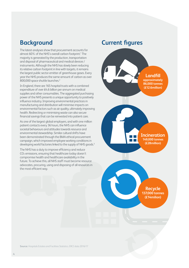## **Background**

The latest analyses show that procurement accounts for almost 60% of the NHS's overall carbon footprint.<sup>1</sup> The majority is generated by the production, transportation and disposal of pharmaceutical and medical devices / instruments. Although the NHS has slowly been reducing its relative carbon footprint in line with targets, it remains the largest public sector emitter of greenhouse gases. Every year the NHS produces the same amount of carbon as over 800,000 space shuttle launches.<sup>2</sup>

In England, there are 165 hospital trusts with a combined expenditure of over £4.6 billion per annum on medical supplies and other consumables. The aggregated purchasing power of the NHS presents a unique opportunity to positively influence industry. Improving environmental practices in manufacturing and distribution will minimise impacts on environmental factors such as air quality, ultimately improving health. Redirecting or minimising waste can also secure financial savings that can be reinvested into patient care.

As one of the largest global employers, and with one million patient contacts every 36 hours, the NHS can influence societal behaviours and attitudes towards resource and environmental stewardship. Similar cultural shifts have been demonstrated through the BMA ethical procurement campaign, which improved employee working conditions in developing world factories linked to the supply of NHS goods.<sup>3</sup>

The NHS has a duty to improve efficiency and reduce CO2 emissions, ensuring that healthcare today doesn't compromise health and healthcare availability in the future. To achieve this, all NHS staff must become resource advocates, procuring, using and disposing of all resources in the most efficient way.

## **Current figures**



**Incineration 149,000 tonnes (£28million)**

**Recycle 137,000 tonnes (£14milion)**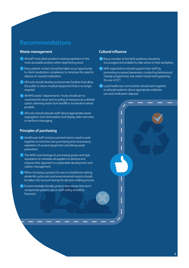#### **Waste management**

- **1** All staff must place products nearing expiration in the most accessible position when replenishing stock.
- **2** Every patient contact should be taken as an opportunity to check medication compliance, to minimise the need to dispose of unused medication.
- **3** All trusts should develop and promote facilities that allow the public to return medical equipment that is no longer required.
- **4** All NHS wards / departments / trusts should aim to maximise the reuse and recycling of resources as a default option, diverting waste from landfill or incineration where possible.
- **5** All trusts should educate staff about appropriate waste segregation and minimisation and display aide memoires to reinforce messaging.

#### **Principles of purchasing**

- **6** Healthcare staff and procurement teams need to work together to minimise over-purchasing and unnecessary expiration of unused equipment, prioritising waste prevention.
- **7** The NHS must leverage its purchasing power and high reputation to mandate all suppliers to disclose and improve their approach to sustainable development and carbon management.
- **8** When choosing a product for use in a healthcare setting, whole-life cycle costs and environmental impacts should be taken into account during the decision-making process.
- **9** Environmentally friendly product alternatives that don't compromise patient care or staff safety should be favoured.

#### **Cultural influence**

- **10** Every member of the NHS workforce should be encouraged and enabled to take action in their workplace.
- **11** NHS organisations should support their staff by promoting increased awareness, conducting behavioural change programmes, low carbon travel and supporting the use of ICT.
- **12** Local healthcare communities should work together to educate patients about appropriate antibiotic use and medication disposal.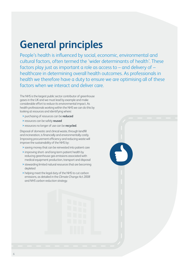# **General principles**

People's health is influenced by social, economic, environmental and cultural factors, often termed the 'wider determinants of health'. These factors play just as important a role as access to – and delivery of – healthcare in determining overall health outcomes. As professionals in health we therefore have a duty to ensure we are optimising all of these factors when we interact and deliver care.

The NHS is the largest public sector contributor of greenhouse gases in the UK and we must lead by example and make considerable effort to reduce its environmental impact. As health professionals working within the NHS we can do this by looking at resources and identifying where:

- **>** purchasing of resources can be **reduced**
- **>** resources can be safely **reused**
- **>** resources no longer of use can be **recycled**.

Disposal of domestic and clinical waste, through landfill and incineration, is financially and environmentally costly. Improving procurement efficiency and reducing waste will improve the sustainability of the NHS by:

- **>** saving money that can be reinvested into patient care
- **>** improving short- and long-term patient health by reducing greenhouse gas emissions associated with medical equipment production, transport and disposal
- **>** stewarding limited natural resources that are becoming depleted
- **>** helping meet the legal duty of the NHS to cut carbon emissions, as detailed in the *Climate Change Act 2008* and *[NHS carbon reduction strategy](https://www.sduhealth.org.uk/policy-strategy/engagement-resources/nhs-carbon-reduction-strategy-2009.aspx)*.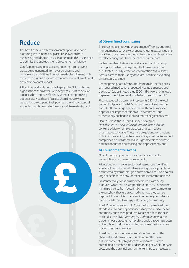## **Reduce**

The best financial and environmental option is to avoid producing waste in the first place. This saves on both purchasing and disposal costs. In order to do this, trusts need to optimise the operations and procurement efficiency.

Careful purchasing and stock management can prevent waste being generated from over-purchasing and unnecessary expiration of unused medical equipment. This can lead to dramatic savings in procurement cost, waste costs and environmental impact.

All healthcare staff have a role to play. The NHS and other organisations should work with healthcare staff to develop practices that improve efficiency without compromising patient care. Healthcare facilities should reduce waste generation by adapting their purchasing and stock control strategies, and training staff in appropriate waste disposal.



#### **a) Streamlined purchasing**

The first step to improving procurement efficiency and stock management is to review current purchasing patterns against use. Often there are opportunities to update purchase orders to reflect changes in clinical practice or preferences.

Reviews can lead to financial and environmental savings by stopping orders of equipment that are unnecessary or outdated. Equally, effective stock rotation ensures that items closest to their 'use by date' are used first, preventing unnecessary spoilage.

Repeat prescriptions often suffer from similar inefficiencies, with unused medications repeatedly being dispensed and discarded. It is estimated that £300 million worth of unused dispensed medicines are discarded each year in the UK.<sup>4</sup>

Pharmaceutical procurement represents 21% of the total carbon footprint of the NHS. Pharmaceutical residues are consistently entering the environment through improper disposal. The impact of this on our environment, and subsequently our health, is now a matter of great concern.

Health Care Without Harm Europe's new guide, *[How doctors can help reduce pharmaceutical pollution](https://noharm-global.org/documents/guide-how-doctors-can-help-reduce-pharmaceutical-pollution)*, contains advice on simple practices that can reduce pharmaceutical waste. These include guidance on prudent antibiotic prescribing, such as prescribing small packages until compliance is established. It also urges doctors to educate patients about their purchasing and disposal behaviour.

#### **b) Environmental swaps**

One of the most pressing impacts of environmental degradation is worsening human health.

Private and commercial sector businesses have identified significant financial benefits to reviewing their supply chain and internal systems through a sustainable lens. This also has large benefits for the environment and local communities.<sup>5</sup>

Environmentally conscious healthcare items are being produced which can be swapped into practice. These items minimise their carbon footprint by rethinking what materials are used, how they are processed and how they can be disposed. The result is a more environmentally considerate product while maintaining quality, safety and usability.

The UK government and EU Commission have developed standard sustainable specifications for procurers to use for commonly purchased products. More specific to the NHS, toolkits like the SDU *[Procuring for Carbon Reduction](https://www.sduhealth.org.uk/.../1264766565_Lrjq_p4cr_executive_summary.doc)* can guide in-house procurement professionals through a process of identifying and understanding carbon emissions when buying goods and services.

The drive to constantly reduce costs often favours the cheapest short-term option, but this can often have a disproportionately high lifetime carbon cost. When considering a purchase, an understanding of whole lifecycle costs and the potential environmental impact is necessary.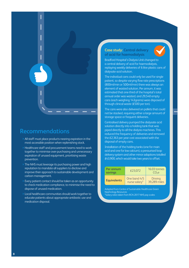

- **>** All staff must place products nearing expiration in the most accessible position when replenishing stock.
- **>** Healthcare staff and procurement teams need to work together to minimise over-purchasing and unnecessary expiration of unused equipment, prioritising waste prevention.
- **>** The NHS must leverage its purchasing power and high reputation to mandate all suppliers to disclose and improve their approach to sustainable development and carbon management.
- **Every patient contact should be taken as an opportunity** to check medication compliance, to minimise the need to dispose of unused medication.
- **>** Local healthcare communities should work together to educate patients about appropriate antibiotic use and medication disposal.

#### **Case study: Central delivery of acid for haemodialysis**



Bradford Hospital's Dialysis Unit changed to a central delivery of acid for haemodialysis, replaying weekly deliveries of 6 litre plastic cans of dialysate acid solution.

The individual cans could only be used for single patient, so despite varying flow rate prescriptions (800ml/min or 500ml/min) there was always an element of wasted solution. Per annum, it was estimated that one-third of the hospital's total annual order was wasted, and 29,540 empty cans (each weighing 143grams) were disposed of through clinical waste (£500 per ton).

The cans were also delivered on pallets that could not be stacked, requiring either a large amount of storage space or frequent deliveries.

Centralised delivery pumped the dialysate acid solution directly into a holding tank that was piped directly to all the dialysis machines. This reduced the frequency of deliveries and removed the £2,363 per year cost associated with the disposal of empty cans.

Installation of the holding tanks (one for main acid and one for low calcium), a pressurised loop delivery system and other minor adaptions totalled £43,900, which would take two years to offset.

| Per annum<br>savings | £23,072                       | 16.03 tonnes<br>CO <sub>2</sub> e |
|----------------------|-------------------------------|-----------------------------------|
| <b>Equivalents</b>   | One band 4/5<br>nurse salary* | <b>Driving</b><br>39,289 miles    |

[Adapted from Centre of Sustainable Healthcare Green](https://networks.sustainablehealthcare.org.uk/networks/green-nephrology/green-nephrology-award-entries-2012-posters-d)  Nephrology Resources [\\*Salary rates taken from RCN 2017 NHS pay scales](https://www.rcn.org.uk/employment-and-pay/nhs-pay-scales-2017-18)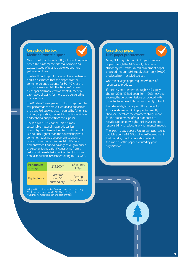### **Case study bio box:**



**Medicinal waste disposal**

Newcastle Upon Tyne (NUTH) introduction paperbased Bio-bins® for the disposal of medicinal waste, instead of plastic purple topped rigid yellow containers.

The traditional rigid plastic containers are heavy, and it is estimated that the disposal of the containers alone accounts for 30–40% of the trust's incineration bill. The Bio-bins® offered a cheaper and more environmentally friendly alternative allowing for more to be delivered at any one time.

The Bio-bins® were placed in high usage areas to test performance before it was rolled out across the trust. Roll out was accompanied by full on-site training, supporting material, instructional videos and technical support from the supplier.

reduction in waste being incinerated (30 tonne annual reduction in waste equating to  $£13,500$ ). The Bio-bin is 96% paper. This is a more sustainable material that produces less harmful gases when incinerated at disposal. It is also 50% lighter than the equivalent plastic container, reducing transport emissions and waste incineration emissions. NUTH's trails demonstrated financial savings through reduced price per unit and a significant saving from a

| Per annum<br>savings | £13,500**                              | 66 tonnes<br>CO <sub>2</sub> e  |
|----------------------|----------------------------------------|---------------------------------|
| <b>Equivalents</b>   | Part time<br>band 5/6<br>nurse salary* | <b>Driving</b><br>161,756 miles |

[Adapted from Sustainable Development Unit case study](https://www.sduhealth.org.uk/resources/case-studies.aspx) [\\*\\*Salary rates taken from RCN 2017 NHS pay scales](https://www.rcn.org.uk/employment-and-pay/nhs-pay-scales-2017-18)  \*\*Savings from reduction in unit cost omitted

## **Case study paper:**



**NHS paper procurement**

Many NHS organisations in England procure paper through the NHS supply chain core stationery list. Of the 3.6 million reams of paper procured through NHS supply chain, only 29,000 produced from recycled sources.

One ton of virgin paper requires 98 tons of resources to produce.

If the NHS procurement through NHS supply chain in 2016/17 had been from 100% recycled sources, the carbon emissions associated with manufacturing would have been nearly halved!

Unfortunately, NHS organisations are facing financial strain and virgin paper is currently cheaper. Therefore the commercial argument for the procurement of virgin, opposed to recycled, paper outweighs the NHS's corporate responsibility to reduce its environmental impact.

The *['How to buy paper a low carbon way'](https://www.sduhealth.org.uk/resources/practical-guides-and-briefings/how-to-guides.aspx)* tool is available on the NHS Sustainable Development Unit website, should you wish to establish the impact of the paper procured by your organisation.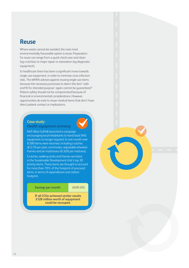## **Reuse**

Where waste cannot be avoided, the next most environmentally favourable option is reuse. Preparation for reuse can range from a quick check over and clean (eg crutches), to major repair or restoration (eg diagnostic equipment).

In healthcare there has been a significant move towards single-use equipment, in order to minimise cross infection risks. The MHRA advises against reusing single-use items because the necessary processes to deem the item 'safe and fit for intended purpose' again cannot be guaranteed.<sup>6</sup> Patient safety should not be compromised because of financial or environmental considerations. However, opportunities do exist to reuse medical items that don't have direct patient contact or implications.

## **Case study:**

#### **Health equipment amnesty**

NHS West Suffolk launched a campaign encouraging local inhabitants to hand back NHS equipment no longer required. In one month over 8,500 items were returned, including crutches (£12.70 per pair), commodes, adjustable wheeled frames and air mattresses (£1,650 per mattress).

Crutches, walking sticks and frames are listed in the Susatinable Development Unit's top 20 priority items. These items are thought to account for more than 70% of the footprint of procured items, in terms of expenditures and carbon footprint.

**Savings per month**  $£608,500$ 

**If all CCGs achieved similar results £128 million worth of equipment could be recouped.**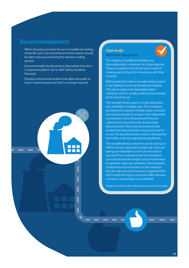- **>** When choosing a product for use in a healthcare setting, whole life cycle costs and environmental impacts should be taken into account during the decision-making process.
- **>** Environmentally friendly product alternatives that don't compromise patient care or staff safety should be favoured.
- **>** Develop and promote facilities that allow the public to return medical equipment that is no longer required.

#### **Case study: Reusable sharps box**



The majority of healthcare facilities use disposable plastic containers for sharps disposal. These are sealed in the clinical area in which it is being used and sent for incineration with their contents.

NHS Lanarkshire trailed a reusable sharps system in the Diabetes Centre at Monklands Hospital. This was to replace the disposable plastic container, which is usually sealed and incinerated at the end of its use.

The reusable sharps system is a pre-assembled unit, available in multiple sizes. The containers are delivered to site by a clinical waste contractor and used and sealed in a way to their disposable counterparts. Once full and sealed they are collected and returned to the clinical waste disposal facility. Here they are emptied, heat treated and inspected before being returned for re-use. The decanted sharps waste is destroyed at the facility under the appropriate regulations.

The reusable sharps containers can be used up to 500 times each opposed to single-use. Financial savings are dependent on the size of trust but can result from reduced waste for incineration (cost associated with weight) and removed need to replenish single use containers. Harmful gases produced during incineration of the container are also reduced, and it has been suggested that staff needlestick injuries have also fallen because containers are less likely to be overfilled.

[Adapted from NHS Scotland: Waste Prevention and Re-use guide](https://www.resourceefficientscotland.com/sites/default/files/NHSScotland%20Waste%20Prevention%20and%20Re-use%20Guide.pdf)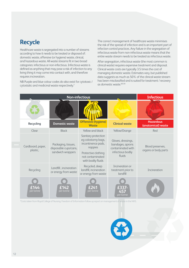## **Recycle**

Healthcare waste is segregated into a number of streams according to how it needs to be treated or disposed of: domestic waste, offensive (or hygiene) waste, clinical, and hazardous waste. All waste streams fit in two broad categories: infectious or non-infectious. Infectious waste is defined as anything that may pose a risk of infection to any living thing it may come into contact with, and therefore requires incineration.

NB Purple and blue colour codes do also exist for cytotoxic / cytostatic and medicinal waste respectively.7

The correct management of healthcare waste minimises the risk of the spread of infection and is an important part of infection control practices. Any failure in the segregation of infectious waste from non-infectious waste means that the entire waste stream needs to be treated as infectious waste.

After segregation, infectious waste (the most common is clinical waste) requires expensive treatment and disposal. Clinical waste costs are typically 3.5 times the cost of managing domestic waste. Estimates vary, but published data suggests as much as 50% of the clinical waste stream has been misclassified and is suited for treatment / recovery as domestic waste.<sup>8,9,10</sup>

| Non-infectious |                               |                                                                   |                                                                                                                                             |                                                                                            | <b>Infectious</b>                        |
|----------------|-------------------------------|-------------------------------------------------------------------|---------------------------------------------------------------------------------------------------------------------------------------------|--------------------------------------------------------------------------------------------|------------------------------------------|
|                |                               |                                                                   |                                                                                                                                             |                                                                                            |                                          |
|                | <b>Recycling</b>              | <b>Domestic waste</b>                                             | <b>Offensive (hygiene)</b><br><b>Waste</b>                                                                                                  | <b>Clinical waste</b>                                                                      | <b>Hazardous</b><br>(anatomical) waste   |
|                | Clear                         | <b>Black</b>                                                      | Yellow and black                                                                                                                            | Yellow/Orange                                                                              | Red                                      |
|                | Cardboard, paper,<br>plastic, | Packaging, tissues,<br>disposable cups/cans,<br>sandwich wrappers | Sanitary protection<br>eg colostomy bags,<br>incontinence pads,<br>nappies<br>Protective clothing<br>not contaminated<br>with bodily fluids | Gloves, dressings,<br>bandages, aprons<br>contaminated with<br>infectious bodily<br>fluids | Blood preserves,<br>organs or body parts |
|                | Recycling                     | Landfill, incineration<br>or energy from waste                    | Recycled, deep<br>landfill, incineration<br>or energy from waste                                                                            | Incineration or<br>treatment prior to<br>landfill                                          | Incineration                             |
|                | per tonne                     | 51/17<br>per tonne                                                | £ 241<br>per tonne                                                                                                                          | £337<br>457<br>per tonne                                                                   |                                          |

\*Costs taken from Royal College of Nursing. Freedom of Information follow up report on management of waste in the NHS.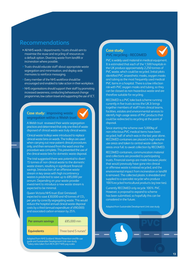- **>** All NHS wards / departments / trusts should aim to maximise the reuse and recycling of resources as a default option. Diverting waste from landfill or incineration where possible.
- **>** Trusts should educate staff about appropriate waste segregation and minimisation, and display aide memoires to reinforce messaging.
- **>** Every member of the NHS workforce should be encouraged and enabled to take action in their workplace.
- **>** NHS organisations should support their staff by promoting increased awareness, conducting behavioural change programmes, low carbon travel and supporting the use of ICT.

#### **Case study: improving waste segregation within a Welsh trust**



A Welsh trust reviewed their waste segregation practices and determined that only one-third of waste disposed of clinical waste was truly clinical waste.

Clinical waste trolleys were introduced to replace clinical waste bins on wards. The trolleys are used when carrying out near-patient clinical procedures only, and then removed from the ward once the procedure was complete. This prevented the use of the clinical waste bins for domestic waste disposal.

The trial suggested there was potential to divert 15 tonnes of non-clinical waste to the domestic waste stream, resulting in significant financial savings. Introduction of an offensive waste stream in key areas with high incontinency wastes is predicted to save up to £85,000 per annum. Depending on your waste provider investment to introduce a new waste stream is expected to be minimal.

Queen Victoria NHS trust (East Grinstead) expected to save £30,000 and 40 tonnes of  $CO<sub>2</sub>$ per year by correctly segregating waste. This would reduce the hospital annual clinical waste disposal costs by a third (annual expenditure of £90,000) and associated carbon emission by 25%.

# **Per annum savings £85,000 min**

#### **Equivalents** Three band 5 nurses\*

[Adapted from NHS Scotland: Waste Prevention and Re-use](http://www.resourceefficientscotland.com/sites/default/files/NHSScotland%20Waste%20Prevention%20and%20Re-use%20Guide.pdf)  guide and Sustainable Development Unit case study [\\*Salary rates taken from RCN 2017 NHS pay scales](https://www.rcn.org.uk/employment-and-pay/nhs-pay-scales-2017-18) 

#### **Case study: PVC recycling - RECOMED**



PVC is widely used material in medical equipment. It is estimated that each of the 1,500 hospitals in the UK produce approximately 2,250 tonnes of PVC waste, which could be recycled. Initial pilots identified PVC anaesthetic masks, oxygen masks and tubing as the most frequently used medical PVC items in a hospital. There is a low infection risk with PVC oxygen masks and tubing, so they can be classed as non-hazardous waste and are therefore suitable for recycling.

RECOMED is a PVC take back scheme running currently in five trusts across the UK.It brings together members of staff from clinical teams, facilities, estates and environmental services to identify high usage areas of PVC products that could be redirected to recycling at the point of disposal.

Since starting the scheme over 5,000kg of non-infectious PVC medical items have been recycled, half of which was in the last year alone. RECOMED containers are placed in high volume use areas and taken to central waste collection areas once full, to await collection by RECOMED.

RECOMED containers, communication material and collections are provided to participating trusts. Financial savings are made because plastic that would previously have gone into clinical or offensive waste is instead recycled, and the environmental impact from incineration or landfill is removed. The collected plastic is shredded and supplied to a specialist recycler who produce 100%recycled horticultural products (eg tree ties).

Currently RECOMED only recycle 100% PVC. However, a proposal to expand to scheme has been submitted, so hopefully this can be considered in the future.

[Adapted from Sustainable Development Unit case study](https://www.sduhealth.org.uk/resources/case-studies.aspx)